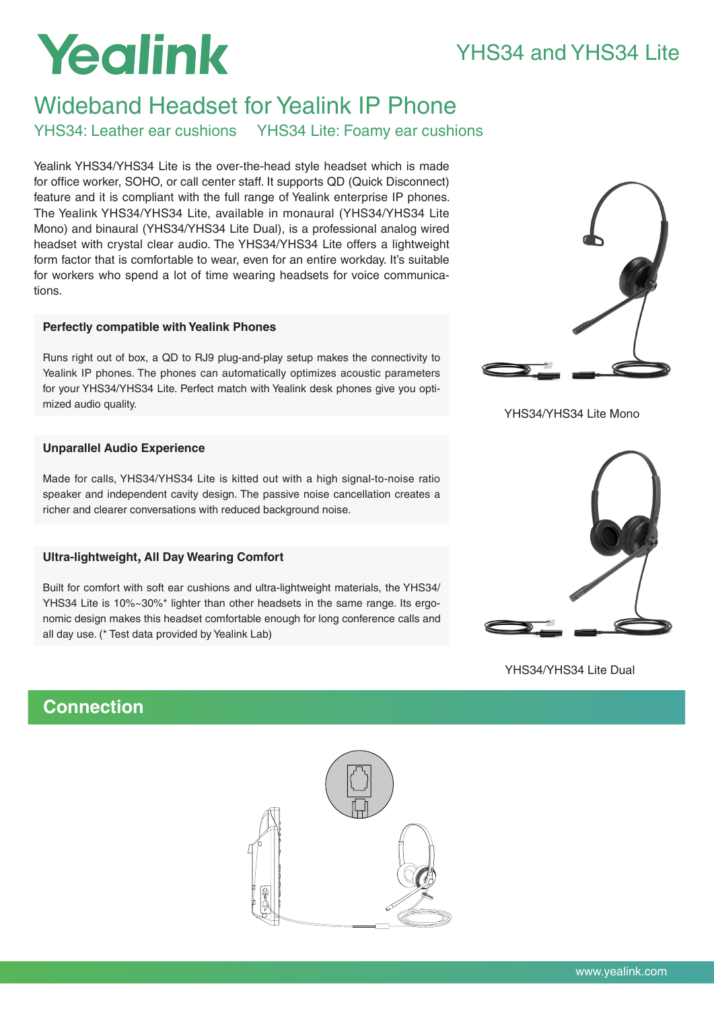## YHS34 and YHS34 Lite

# Yealink

## Wideband Headset for Yealink IP Phone

YHS34: Leather ear cushions YHS34 Lite: Foamy ear cushions

Yealink YHS34/YHS34 Lite is the over-the-head style headset which is made for office worker, SOHO, or call center staff. It supports QD (Quick Disconnect) feature and it is compliant with the full range of Yealink enterprise IP phones. The Yealink YHS34/YHS34 Lite, available in monaural (YHS34/YHS34 Lite Mono) and binaural (YHS34/YHS34 Lite Dual), is a professional analog wired headset with crystal clear audio. The YHS34/YHS34 Lite offers a lightweight form factor that is comfortable to wear, even for an entire workday. It's suitable for workers who spend a lot of time wearing headsets for voice communications.

## **Perfectly compatible with Yealink Phones**

Runs right out of box, a QD to RJ9 plug-and-play setup makes the connectivity to Yealink IP phones. The phones can automatically optimizes acoustic parameters for your YHS34/YHS34 Lite. Perfect match with Yealink desk phones give you optimized audio quality.

## **Unparallel Audio Experience**

Made for calls, YHS34/YHS34 Lite is kitted out with a high signal-to-noise ratio speaker and independent cavity design. The passive noise cancellation creates a richer and clearer conversations with reduced background noise.

## **Ultra-lightweight, All Day Wearing Comfort**

Built for comfort with soft ear cushions and ultra-lightweight materials, the YHS34/ YHS34 Lite is 10%~30%\* lighter than other headsets in the same range. Its ergonomic design makes this headset comfortable enough for long conference calls and all day use. (\* Test data provided by Yealink Lab)



YHS34/YHS34 Lite Mono



YHS34/YHS34 Lite Dual

## **Connection**